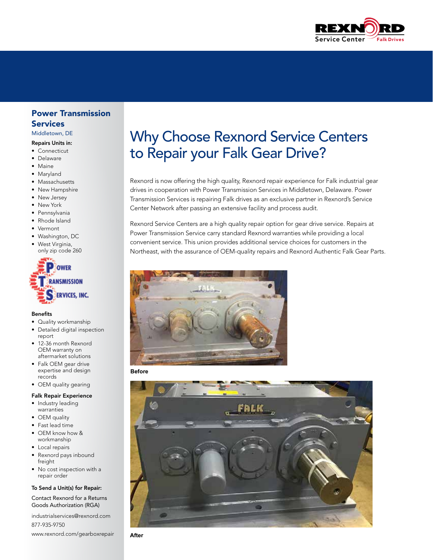

# Power Transmission Services

Middletown, DE

#### Repairs Units in:

- Connecticut
- Delaware
- Maine
- Maryland
- Massachusetts
- New Hampshire
- New Jersey
- New York
- Pennsylvania
- Rhode Island
- Vermont
- Washington, DC
- West Virginia, only zip code 260



## Benefits

- Quality workmanship
- Detailed digital inspection report
- 12-36 month Rexnord OEM warranty on aftermarket solutions
- Falk OEM gear drive expertise and design records
- OEM quality gearing

# Falk Repair Experience

- Industry leading warranties
- OEM quality
- Fast lead time
- OEM know how & workmanship
- Local repairs
- Rexnord pays inbound freight
- No cost inspection with a repair order

#### To Send a Unit(s) for Repair:

Contact Rexnord for a Returns Goods Authorization (RGA)

industrialservices@rexnord.com 877-935-9750

www.rexnord.com/gearboxrepair

# Why Choose Rexnord Service Centers to Repair your Falk Gear Drive?

Rexnord is now offering the high quality, Rexnord repair experience for Falk industrial gear drives in cooperation with Power Transmission Services in Middletown, Delaware. Power Transmission Services is repairing Falk drives as an exclusive partner in Rexnord's Service Center Network after passing an extensive facility and process audit.

Rexnord Service Centers are a high quality repair option for gear drive service. Repairs at Power Transmission Service carry standard Rexnord warranties while providing a local convenient service. This union provides additional service choices for customers in the Northeast, with the assurance of OEM-quality repairs and Rexnord Authentic Falk Gear Parts.



**Before**



**After**